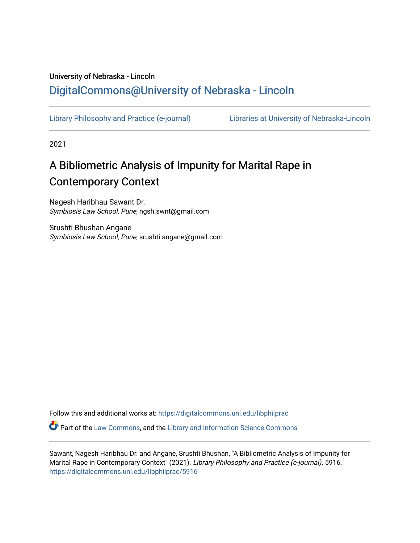# University of Nebraska - Lincoln [DigitalCommons@University of Nebraska - Lincoln](https://digitalcommons.unl.edu/)

[Library Philosophy and Practice \(e-journal\)](https://digitalcommons.unl.edu/libphilprac) [Libraries at University of Nebraska-Lincoln](https://digitalcommons.unl.edu/libraries) 

2021

# A Bibliometric Analysis of Impunity for Marital Rape in Contemporary Context

Nagesh Haribhau Sawant Dr. Symbiosis Law School, Pune, ngsh.swnt@gmail.com

Srushti Bhushan Angane Symbiosis Law School, Pune, srushti.angane@gmail.com

Follow this and additional works at: [https://digitalcommons.unl.edu/libphilprac](https://digitalcommons.unl.edu/libphilprac?utm_source=digitalcommons.unl.edu%2Flibphilprac%2F5916&utm_medium=PDF&utm_campaign=PDFCoverPages) 

Part of the [Law Commons](http://network.bepress.com/hgg/discipline/578?utm_source=digitalcommons.unl.edu%2Flibphilprac%2F5916&utm_medium=PDF&utm_campaign=PDFCoverPages), and the [Library and Information Science Commons](http://network.bepress.com/hgg/discipline/1018?utm_source=digitalcommons.unl.edu%2Flibphilprac%2F5916&utm_medium=PDF&utm_campaign=PDFCoverPages) 

Sawant, Nagesh Haribhau Dr. and Angane, Srushti Bhushan, "A Bibliometric Analysis of Impunity for Marital Rape in Contemporary Context" (2021). Library Philosophy and Practice (e-journal). 5916. [https://digitalcommons.unl.edu/libphilprac/5916](https://digitalcommons.unl.edu/libphilprac/5916?utm_source=digitalcommons.unl.edu%2Flibphilprac%2F5916&utm_medium=PDF&utm_campaign=PDFCoverPages)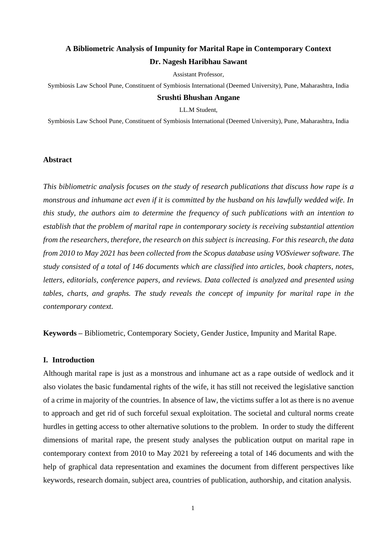# **A Bibliometric Analysis of Impunity for Marital Rape in Contemporary Context Dr. Nagesh Haribhau Sawant**

Assistant Professor,

Symbiosis Law School Pune, Constituent of Symbiosis International (Deemed University), Pune, Maharashtra, India

#### **Srushti Bhushan Angane**

LL.M Student,

Symbiosis Law School Pune, Constituent of Symbiosis International (Deemed University), Pune, Maharashtra, India

# **Abstract**

*This bibliometric analysis focuses on the study of research publications that discuss how rape is a monstrous and inhumane act even if it is committed by the husband on his lawfully wedded wife. In this study, the authors aim to determine the frequency of such publications with an intention to establish that the problem of marital rape in contemporary society is receiving substantial attention from the researchers, therefore, the research on this subject is increasing. For this research, the data from 2010 to May 2021 has been collected from the Scopus database using VOSviewer software. The study consisted of a total of 146 documents which are classified into articles, book chapters, notes, letters, editorials, conference papers, and reviews. Data collected is analyzed and presented using tables, charts, and graphs. The study reveals the concept of impunity for marital rape in the contemporary context.* 

**Keywords –** Bibliometric, Contemporary Society, Gender Justice, Impunity and Marital Rape.

#### **I. Introduction**

Although marital rape is just as a monstrous and inhumane act as a rape outside of wedlock and it also violates the basic fundamental rights of the wife, it has still not received the legislative sanction of a crime in majority of the countries. In absence of law, the victims suffer a lot as there is no avenue to approach and get rid of such forceful sexual exploitation. The societal and cultural norms create hurdles in getting access to other alternative solutions to the problem. In order to study the different dimensions of marital rape, the present study analyses the publication output on marital rape in contemporary context from 2010 to May 2021 by refereeing a total of 146 documents and with the help of graphical data representation and examines the document from different perspectives like keywords, research domain, subject area, countries of publication, authorship, and citation analysis.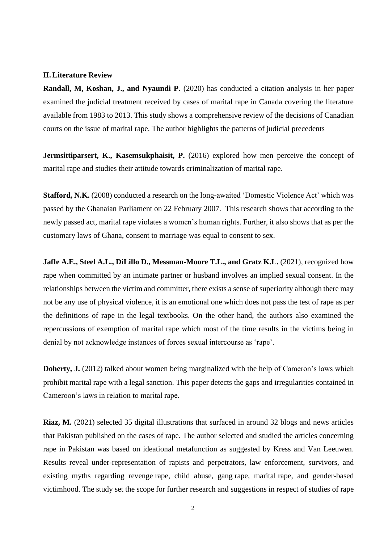#### **II. Literature Review**

**Randall, M, Koshan, J., and Nyaundi P.** (2020) has conducted a citation analysis in her paper examined the judicial treatment received by cases of marital rape in Canada covering the literature available from 1983 to 2013. This study shows a comprehensive review of the decisions of Canadian courts on the issue of marital rape. The author highlights the patterns of judicial precedents

**[Jermsittiparsert,](https://papers.ssrn.com/sol3/cf_dev/AbsByAuth.cfm?per_id=1013647) K., [Kasemsukphaisit,](https://papers.ssrn.com/sol3/cf_dev/AbsByAuth.cfm?per_id=2572953) P.** (2016) explored how men perceive the concept of marital rape and studies their attitude towards criminalization of marital rape.

**Stafford, N.K.** (2008) conducted a research on the long-awaited 'Domestic Violence Act' which was passed by the Ghanaian Parliament on 22 February 2007. This research shows that according to the newly passed act, marital rape violates a women's human rights. Further, it also shows that as per the customary laws of Ghana, consent to marriage was equal to consent to sex.

**[Jaffe A.E.,](https://elibrary.symlaw.ac.in:2127/authid/detail.uri?authorId=55556460600&eid=2-s2.0-85042629102) [Steel A.L.,](https://elibrary.symlaw.ac.in:2127/authid/detail.uri?authorId=55929758200&eid=2-s2.0-85042629102) [DiLillo D.,](https://elibrary.symlaw.ac.in:2127/authid/detail.uri?authorId=6701493888&eid=2-s2.0-85042629102) [Messman-Moore T.L.,](https://elibrary.symlaw.ac.in:2127/authid/detail.uri?authorId=6602415978&eid=2-s2.0-85042629102) and [Gratz K.L.](https://elibrary.symlaw.ac.in:2127/authid/detail.uri?authorId=7005383752&eid=2-s2.0-85042629102)** (2021), recognized how rape when committed by an intimate partner or husband involves an implied sexual consent. In the relationships between the victim and committer, there exists a sense of superiority although there may not be any use of physical violence, it is an emotional one which does not pass the test of rape as per the definitions of rape in the legal textbooks. On the other hand, the authors also examined the repercussions of exemption of marital rape which most of the time results in the victims being in denial by not acknowledge instances of forces sexual intercourse as 'rape'.

**Doherty, J.** (2012) talked about women being marginalized with the help of Cameron's laws which prohibit marital rape with a legal sanction. This paper detects the gaps and irregularities contained in Cameroon's laws in relation to marital rape.

**Riaz, M.** (2021) selected 35 digital illustrations that surfaced in around 32 blogs and news articles that Pakistan published on the cases of rape. The author selected and studied the articles concerning rape in Pakistan was based on ideational metafunction as suggested by Kress and Van Leeuwen. Results reveal under-representation of rapists and perpetrators, law enforcement, survivors, and existing myths regarding revenge rape, child abuse, gang rape, marital rape, and gender-based victimhood. The study set the scope for further research and suggestions in respect of studies of rape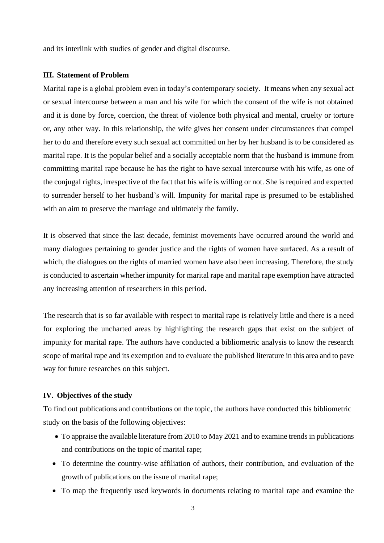and its interlink with studies of gender and digital discourse.

### **III. Statement of Problem**

Marital rape is a global problem even in today's contemporary society. It means when any sexual act or sexual intercourse between a man and his wife for which the consent of the wife is not obtained and it is done by force, coercion, the threat of violence both physical and mental, cruelty or torture or, any other way. In this relationship, the wife gives her consent under circumstances that compel her to do and therefore every such sexual act committed on her by her husband is to be considered as marital rape. It is the popular belief and a socially acceptable norm that the husband is immune from committing marital rape because he has the right to have sexual intercourse with his wife, as one of the conjugal rights, irrespective of the fact that his wife is willing or not. She is required and expected to surrender herself to her husband's will. Impunity for marital rape is presumed to be established with an aim to preserve the marriage and ultimately the family.

It is observed that since the last decade, feminist movements have occurred around the world and many dialogues pertaining to gender justice and the rights of women have surfaced. As a result of which, the dialogues on the rights of married women have also been increasing. Therefore, the study is conducted to ascertain whether impunity for marital rape and marital rape exemption have attracted any increasing attention of researchers in this period.

The research that is so far available with respect to marital rape is relatively little and there is a need for exploring the uncharted areas by highlighting the research gaps that exist on the subject of impunity for marital rape. The authors have conducted a bibliometric analysis to know the research scope of marital rape and its exemption and to evaluate the published literature in this area and to pave way for future researches on this subject.

### **IV. Objectives of the study**

To find out publications and contributions on the topic, the authors have conducted this bibliometric study on the basis of the following objectives:

- To appraise the available literature from 2010 to May 2021 and to examine trends in publications and contributions on the topic of marital rape;
- To determine the country-wise affiliation of authors, their contribution, and evaluation of the growth of publications on the issue of marital rape;
- To map the frequently used keywords in documents relating to marital rape and examine the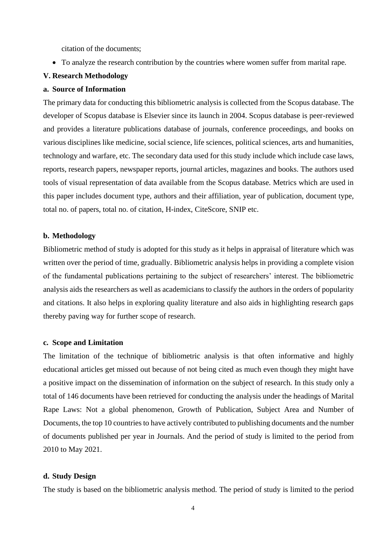citation of the documents;

• To analyze the research contribution by the countries where women suffer from marital rape.

#### **V. Research Methodology**

# **a. Source of Information**

The primary data for conducting this bibliometric analysis is collected from the Scopus database. The developer of Scopus database is Elsevier since its launch in 2004. Scopus database is peer-reviewed and provides a literature publications database of journals, conference proceedings, and books on various disciplines like medicine, social science, life sciences, political sciences, arts and humanities, technology and warfare, etc. The secondary data used for this study include which include case laws, reports, research papers, newspaper reports, journal articles, magazines and books. The authors used tools of visual representation of data available from the Scopus database. Metrics which are used in this paper includes document type, authors and their affiliation, year of publication, document type, total no. of papers, total no. of citation, H-index, CiteScore, SNIP etc.

#### **b. Methodology**

Bibliometric method of study is adopted for this study as it helps in appraisal of literature which was written over the period of time, gradually. Bibliometric analysis helps in providing a complete vision of the fundamental publications pertaining to the subject of researchers' interest. The bibliometric analysis aids the researchers as well as academicians to classify the authors in the orders of popularity and citations. It also helps in exploring quality literature and also aids in highlighting research gaps thereby paving way for further scope of research.

### **c. Scope and Limitation**

The limitation of the technique of bibliometric analysis is that often informative and highly educational articles get missed out because of not being cited as much even though they might have a positive impact on the dissemination of information on the subject of research. In this study only a total of 146 documents have been retrieved for conducting the analysis under the headings of Marital Rape Laws: Not a global phenomenon, Growth of Publication, Subject Area and Number of Documents, the top 10 countries to have actively contributed to publishing documents and the number of documents published per year in Journals. And the period of study is limited to the period from 2010 to May 2021.

#### **d. Study Design**

The study is based on the bibliometric analysis method. The period of study is limited to the period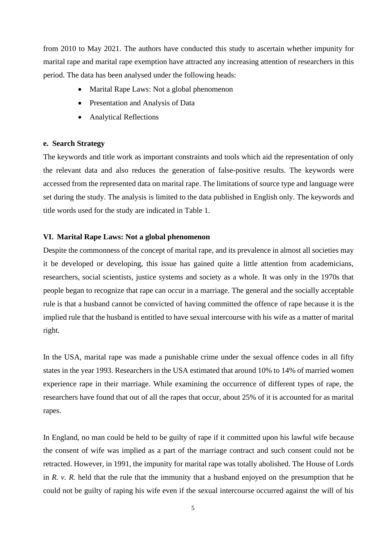from 2010 to May 2021. The authors have conducted this study to ascertain whether impunity for marital rape and marital rape exemption have attracted any increasing attention of researchers in this period. The data has been analysed under the following heads:

- Marital Rape Laws: Not a global phenomenon
- Presentation and Analysis of Data
- Analytical Reflections

#### **e. Search Strategy**

The keywords and title work as important constraints and tools which aid the representation of only the relevant data and also reduces the generation of false-positive results. The keywords were accessed from the represented data on marital rape. The limitations of source type and language were set during the study. The analysis is limited to the data published in English only. The keywords and title words used for the study are indicated in Table 1.

#### **VI. Marital Rape Laws: Not a global phenomenon**

Despite the commonness of the concept of marital rape, and its prevalence in almost all societies may it be developed or developing, this issue has gained quite a little attention from academicians, researchers, social scientists, justice systems and society as a whole. It was only in the 1970s that people began to recognize that rape can occur in a marriage. The general and the socially acceptable rule is that a husband cannot be convicted of having committed the offence of rape because it is the implied rule that the husband is entitled to have sexual intercourse with his wife as a matter of marital right.

In the USA, marital rape was made a punishable crime under the sexual offence codes in all fifty states in the year 1993. Researchers in the USA estimated that around 10% to 14% of married women experience rape in their marriage. While examining the occurrence of different types of rape, the researchers have found that out of all the rapes that occur, about 25% of it is accounted for as marital rapes.

In England, no man could be held to be guilty of rape if it committed upon his lawful wife because the consent of wife was implied as a part of the marriage contract and such consent could not be retracted. However, in 1991, the impunity for marital rape was totally abolished. The House of Lords in *R. v. R.* held that the rule that the immunity that a husband enjoyed on the presumption that he could not be guilty of raping his wife even if the sexual intercourse occurred against the will of his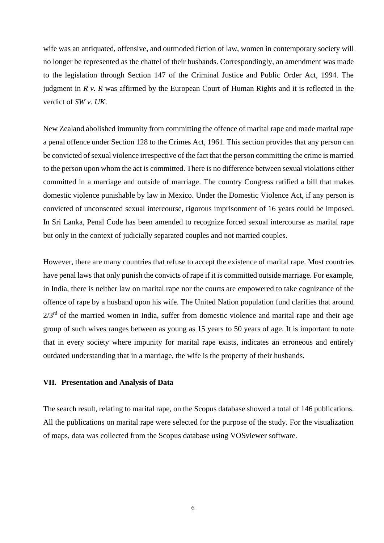wife was an antiquated, offensive, and outmoded fiction of law, women in contemporary society will no longer be represented as the chattel of their husbands. Correspondingly, an amendment was made to the legislation through Section 147 of the Criminal Justice and Public Order Act, 1994. The judgment in *R v. R* was affirmed by the European Court of Human Rights and it is reflected in the verdict of *SW v. UK*.

New Zealand abolished immunity from committing the offence of marital rape and made marital rape a penal offence under Section 128 to the Crimes Act, 1961. This section provides that any person can be convicted of sexual violence irrespective of the fact that the person committing the crime is married to the person upon whom the act is committed. There is no difference between sexual violations either committed in a marriage and outside of marriage. The country Congress ratified a bill that makes domestic violence punishable by law in Mexico. Under the Domestic Violence Act, if any person is convicted of unconsented sexual intercourse, rigorous imprisonment of 16 years could be imposed. In Sri Lanka, Penal Code has been amended to recognize forced sexual intercourse as marital rape but only in the context of judicially separated couples and not married couples.

However, there are many countries that refuse to accept the existence of marital rape. Most countries have penal laws that only punish the convicts of rape if it is committed outside marriage. For example, in India, there is neither law on marital rape nor the courts are empowered to take cognizance of the offence of rape by a husband upon his wife. The United Nation population fund clarifies that around  $2/3<sup>rd</sup>$  of the married women in India, suffer from domestic violence and marital rape and their age group of such wives ranges between as young as 15 years to 50 years of age. It is important to note that in every society where impunity for marital rape exists, indicates an erroneous and entirely outdated understanding that in a marriage, the wife is the property of their husbands.

### **VII. Presentation and Analysis of Data**

The search result, relating to marital rape, on the Scopus database showed a total of 146 publications. All the publications on marital rape were selected for the purpose of the study. For the visualization of maps, data was collected from the Scopus database using VOSviewer software.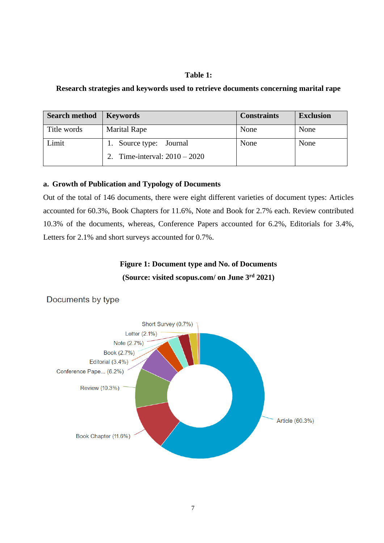# **Table 1:**

# **Research strategies and keywords used to retrieve documents concerning marital rape**

| <b>Search method</b> | <b>Keywords</b>                 | <b>Constraints</b> | <b>Exclusion</b> |
|----------------------|---------------------------------|--------------------|------------------|
| Title words          | <b>Marital Rape</b>             | None               | None             |
| Limit                | 1. Source type: Journal         | None               | None             |
|                      | 2. Time-interval: $2010 - 2020$ |                    |                  |

# **a. Growth of Publication and Typology of Documents**

Out of the total of 146 documents, there were eight different varieties of document types: Articles accounted for 60.3%, Book Chapters for 11.6%, Note and Book for 2.7% each. Review contributed 10.3% of the documents, whereas, Conference Papers accounted for 6.2%, Editorials for 3.4%, Letters for 2.1% and short surveys accounted for 0.7%.

# **Figure 1: Document type and No. of Documents (Source: visited scopus.com/ on June 3rd 2021)**



# Documents by type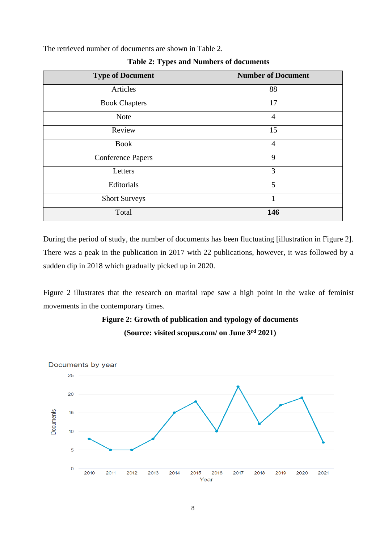The retrieved number of documents are shown in Table 2.

| <b>Type of Document</b>  | <b>Number of Document</b> |
|--------------------------|---------------------------|
| Articles                 | 88                        |
| <b>Book Chapters</b>     | 17                        |
| <b>Note</b>              | $\overline{4}$            |
| Review                   | 15                        |
| <b>Book</b>              | $\overline{4}$            |
| <b>Conference Papers</b> | 9                         |
| Letters                  | 3                         |
| Editorials               | 5                         |
| <b>Short Surveys</b>     |                           |
| Total                    | 146                       |

**Table 2: Types and Numbers of documents**

During the period of study, the number of documents has been fluctuating [illustration in Figure 2]. There was a peak in the publication in 2017 with 22 publications, however, it was followed by a sudden dip in 2018 which gradually picked up in 2020.

Figure 2 illustrates that the research on marital rape saw a high point in the wake of feminist movements in the contemporary times.



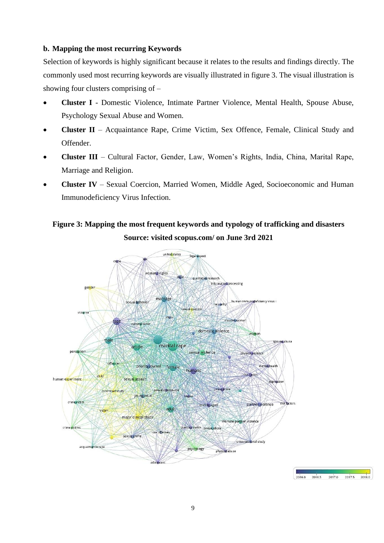# **b. Mapping the most recurring Keywords**

Selection of keywords is highly significant because it relates to the results and findings directly. The commonly used most recurring keywords are visually illustrated in figure 3. The visual illustration is showing four clusters comprising of –

- **Cluster I** Domestic Violence, Intimate Partner Violence, Mental Health, Spouse Abuse, Psychology Sexual Abuse and Women.
- **Cluster II** Acquaintance Rape, Crime Victim, Sex Offence, Female, Clinical Study and Offender.
- **Cluster III** Cultural Factor, Gender, Law, Women's Rights, India, China, Marital Rape, Marriage and Religion.
- **Cluster IV** Sexual Coercion, Married Women, Middle Aged, Socioeconomic and Human Immunodeficiency Virus Infection.

# **Figure 3: Mapping the most frequent keywords and typology of trafficking and disasters Source: visited scopus.com/ on June 3rd 2021**



2017.0

2017.5

2018.0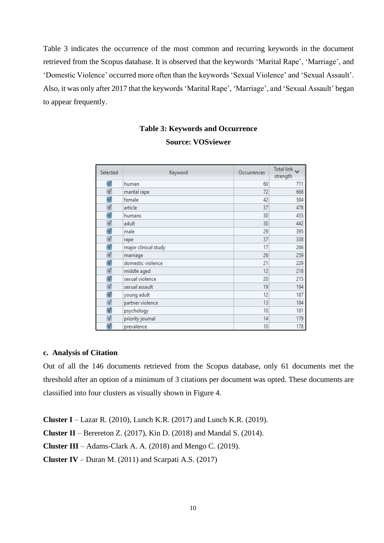Table 3 indicates the occurrence of the most common and recurring keywords in the document retrieved from the Scopus database. It is observed that the keywords 'Marital Rape', 'Marriage', and 'Domestic Violence' occurred more often than the keywords 'Sexual Violence' and 'Sexual Assault'. Also, it was only after 2017 that the keywords 'Marital Rape', 'Marriage', and 'Sexual Assault' began to appear frequently.

# **Table 3: Keywords and Occurrence Source: VOSviewer**

| Selected             | Keyword              | Occurrences | Total link v<br>strength |
|----------------------|----------------------|-------------|--------------------------|
| √                    | human                | 60          | 711                      |
| $\blacktriangledown$ | marital rape         | 72          | 668                      |
| ✔                    | female               | 42          | 584                      |
| $\blacktriangledown$ | article              | 37          | 478                      |
| ₫                    | humans               | 30          | 455                      |
| $\blacktriangledown$ | adult                | 30          | 442                      |
| √                    | male                 | 29          | 395                      |
| √                    | rape                 | 37          | 338                      |
| ₫                    | major clinical study | 17          | 266                      |
| $\blacktriangledown$ | marriage             | 26          | 259                      |
| √                    | domestic violence    | 21          | 229                      |
| $\triangleleft$      | middle aged          | 12          | 218                      |
| √                    | sexual violence      | 20          | 215                      |
| $\blacktriangledown$ | sexual assault       | 19          | 194                      |
| √                    | young adult          | 12          | 187                      |
| $\blacktriangledown$ | partner violence     | 13          | 184                      |
| √                    | psychology           | 10          | 181                      |
| $\blacktriangledown$ | priority journal     | 14          | 179                      |
| √                    | prevalence           | 10          | 178                      |

# **c. Analysis of Citation**

Out of all the 146 documents retrieved from the Scopus database, only 61 documents met the threshold after an option of a minimum of 3 citations per document was opted. These documents are classified into four clusters as visually shown in Figure 4.

**Cluster I** – Lazar R. (2010), Lunch K.R. (2017) and Lunch K.R. (2019).

**Cluster II** – Berereton Z. (2017), Kin D. (2018) and Mandal S. (2014).

**Cluster III** – Adams-Clark A. A. (2018) and Mengo C. (2019).

**Cluster IV** – Duran M. (2011) and Scarpati A.S. (2017)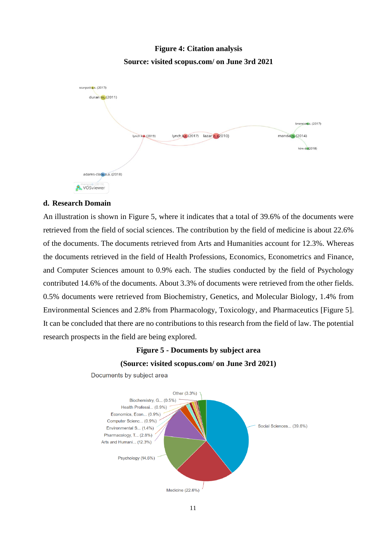# **Figure 4: Citation analysis Source: visited scopus.com/ on June 3rd 2021**



# **d. Research Domain**

An illustration is shown in Figure 5, where it indicates that a total of 39.6% of the documents were retrieved from the field of social sciences. The contribution by the field of medicine is about 22.6% of the documents. The documents retrieved from Arts and Humanities account for 12.3%. Whereas the documents retrieved in the field of Health Professions, Economics, Econometrics and Finance, and Computer Sciences amount to 0.9% each. The studies conducted by the field of Psychology contributed 14.6% of the documents. About 3.3% of documents were retrieved from the other fields. 0.5% documents were retrieved from Biochemistry, Genetics, and Molecular Biology, 1.4% from Environmental Sciences and 2.8% from Pharmacology, Toxicology, and Pharmaceutics [Figure 5]. It can be concluded that there are no contributions to this research from the field of law. The potential research prospects in the field are being explored.

# **Figure 5 - Documents by subject area (Source: visited scopus.com/ on June 3rd 2021)**



Documents by subject area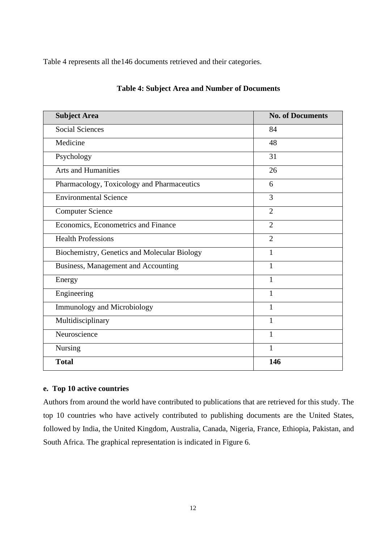Table 4 represents all the146 documents retrieved and their categories.

| <b>Subject Area</b>                          | <b>No. of Documents</b> |
|----------------------------------------------|-------------------------|
| <b>Social Sciences</b>                       | 84                      |
| Medicine                                     | 48                      |
| Psychology                                   | 31                      |
| <b>Arts and Humanities</b>                   | 26                      |
| Pharmacology, Toxicology and Pharmaceutics   | 6                       |
| <b>Environmental Science</b>                 | 3                       |
| <b>Computer Science</b>                      | $\overline{2}$          |
| Economics, Econometrics and Finance          | $\overline{2}$          |
| <b>Health Professions</b>                    | $\overline{2}$          |
| Biochemistry, Genetics and Molecular Biology | 1                       |
| Business, Management and Accounting          | $\mathbf{1}$            |
| Energy                                       | 1                       |
| Engineering                                  | 1                       |
| <b>Immunology and Microbiology</b>           | 1                       |
| Multidisciplinary                            | 1                       |
| Neuroscience                                 | 1                       |
| Nursing                                      | 1                       |
| <b>Total</b>                                 | 146                     |

# **Table 4: Subject Area and Number of Documents**

# **e. Top 10 active countries**

Authors from around the world have contributed to publications that are retrieved for this study. The top 10 countries who have actively contributed to publishing documents are the United States, followed by India, the United Kingdom, Australia, Canada, Nigeria, France, Ethiopia, Pakistan, and South Africa. The graphical representation is indicated in Figure 6.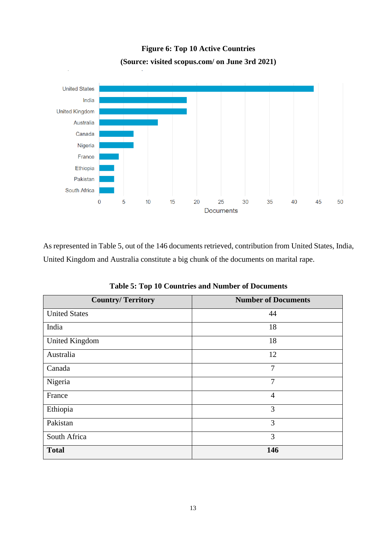

**Figure 6: Top 10 Active Countries (Source: visited scopus.com/ on June 3rd 2021)**

As represented in Table 5, out of the 146 documents retrieved, contribution from United States, India, United Kingdom and Australia constitute a big chunk of the documents on marital rape.

| <b>Country/Territory</b> | <b>Number of Documents</b> |  |
|--------------------------|----------------------------|--|
| <b>United States</b>     | 44                         |  |
| India                    | 18                         |  |
| <b>United Kingdom</b>    | 18                         |  |
| Australia                | 12                         |  |
| Canada                   | 7                          |  |
| Nigeria                  | 7                          |  |
| France                   | 4                          |  |
| Ethiopia                 | 3                          |  |
| Pakistan                 | 3                          |  |
| South Africa             | 3                          |  |
| <b>Total</b>             | 146                        |  |

**Table 5: Top 10 Countries and Number of Documents**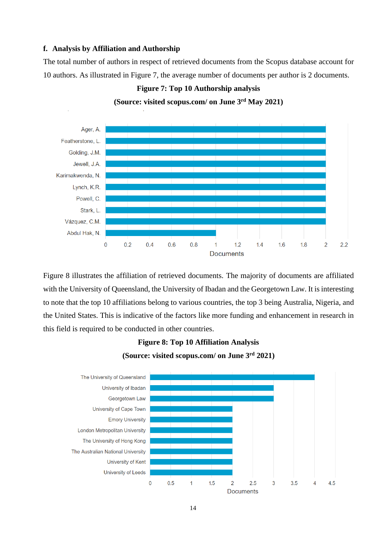#### **f. Analysis by Affiliation and Authorship**

The total number of authors in respect of retrieved documents from the Scopus database account for 10 authors. As illustrated in Figure 7, the average number of documents per author is 2 documents.



**(Source: visited scopus.com/ on June 3rd May 2021)**

**Figure 7: Top 10 Authorship analysis** 

Figure 8 illustrates the affiliation of retrieved documents. The majority of documents are affiliated with the University of Queensland, the University of Ibadan and the Georgetown Law. It is interesting to note that the top 10 affiliations belong to various countries, the top 3 being Australia, Nigeria, and the United States. This is indicative of the factors like more funding and enhancement in research in this field is required to be conducted in other countries.



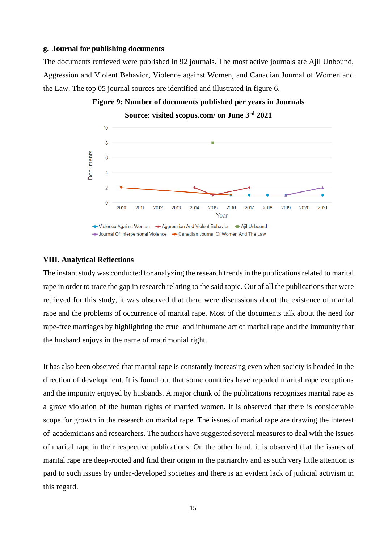### **g. Journal for publishing documents**

The documents retrieved were published in 92 journals. The most active journals are Ajil Unbound, Aggression and Violent Behavior, Violence against Women, and Canadian Journal of Women and the Law. The top 05 journal sources are identified and illustrated in figure 6.



**Figure 9: Number of documents published per years in Journals**

### **VIII. Analytical Reflections**

The instant study was conducted for analyzing the research trends in the publications related to marital rape in order to trace the gap in research relating to the said topic. Out of all the publications that were retrieved for this study, it was observed that there were discussions about the existence of marital rape and the problems of occurrence of marital rape. Most of the documents talk about the need for rape-free marriages by highlighting the cruel and inhumane act of marital rape and the immunity that the husband enjoys in the name of matrimonial right.

It has also been observed that marital rape is constantly increasing even when society is headed in the direction of development. It is found out that some countries have repealed marital rape exceptions and the impunity enjoyed by husbands. A major chunk of the publications recognizes marital rape as a grave violation of the human rights of married women. It is observed that there is considerable scope for growth in the research on marital rape. The issues of marital rape are drawing the interest of academicians and researchers. The authors have suggested several measures to deal with the issues of marital rape in their respective publications. On the other hand, it is observed that the issues of marital rape are deep-rooted and find their origin in the patriarchy and as such very little attention is paid to such issues by under-developed societies and there is an evident lack of judicial activism in this regard.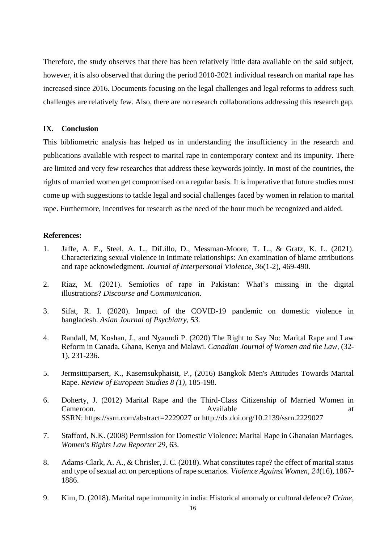Therefore, the study observes that there has been relatively little data available on the said subject, however, it is also observed that during the period 2010-2021 individual research on marital rape has increased since 2016. Documents focusing on the legal challenges and legal reforms to address such challenges are relatively few. Also, there are no research collaborations addressing this research gap.

### **IX. Conclusion**

This bibliometric analysis has helped us in understanding the insufficiency in the research and publications available with respect to marital rape in contemporary context and its impunity. There are limited and very few researches that address these keywords jointly. In most of the countries, the rights of married women get compromised on a regular basis. It is imperative that future studies must come up with suggestions to tackle legal and social challenges faced by women in relation to marital rape. Furthermore, incentives for research as the need of the hour much be recognized and aided.

### **References:**

- 1. Jaffe, A. E., Steel, A. L., DiLillo, D., Messman-Moore, T. L., & Gratz, K. L. (2021). Characterizing sexual violence in intimate relationships: An examination of blame attributions and rape acknowledgment. *Journal of Interpersonal Violence, 36*(1-2), 469-490.
- 2. Riaz, M. (2021). Semiotics of rape in Pakistan: What's missing in the digital illustrations? *Discourse and Communication.*
- 3. Sifat, R. I. (2020). Impact of the COVID-19 pandemic on domestic violence in bangladesh. *Asian Journal of Psychiatry, 53.*
- 4. Randall, M, Koshan, J., and Nyaundi P. (2020) The Right to Say No: Marital Rape and Law Reform in Canada, Ghana, Kenya and Malawi. *Canadian Journal of Women and the Law*, (32- 1), 231-236.
- 5. [Jermsittiparsert,](https://papers.ssrn.com/sol3/cf_dev/AbsByAuth.cfm?per_id=1013647) K., [Kasemsukphaisit,](https://papers.ssrn.com/sol3/cf_dev/AbsByAuth.cfm?per_id=2572953) P., (2016) Bangkok Men's Attitudes Towards Marital Rape. *Review of European Studies 8 (1),* 185-198*.*
- 6. Doherty, J. (2012) Marital Rape and the Third-Class Citizenship of Married Women in Cameroon. Available at the Available at the Available at the Available at the Available at the Available at the Available at the Available at the Available at the Available at the Available at the Available at the Availabl SSRN: <https://ssrn.com/abstract=2229027> or [http://dx.doi.org/10.2139/ssrn.2229027](https://dx.doi.org/10.2139/ssrn.2229027)
- 7. Stafford, N.K. (2008) Permission for Domestic Violence: Marital Rape in Ghanaian Marriages. *[Women's Rights Law Reporter 29](https://papers.ssrn.com/sol3/papers.cfm?abstract_id=1001701)*, 63.
- 8. Adams-Clark, A. A., & Chrisler, J. C. (2018). What constitutes rape? the effect of marital status and type of sexual act on perceptions of rape scenarios. *Violence Against Women, 24*(16), 1867- 1886.
- 9. Kim, D. (2018). Marital rape immunity in india: Historical anomaly or cultural defence? *Crime,*